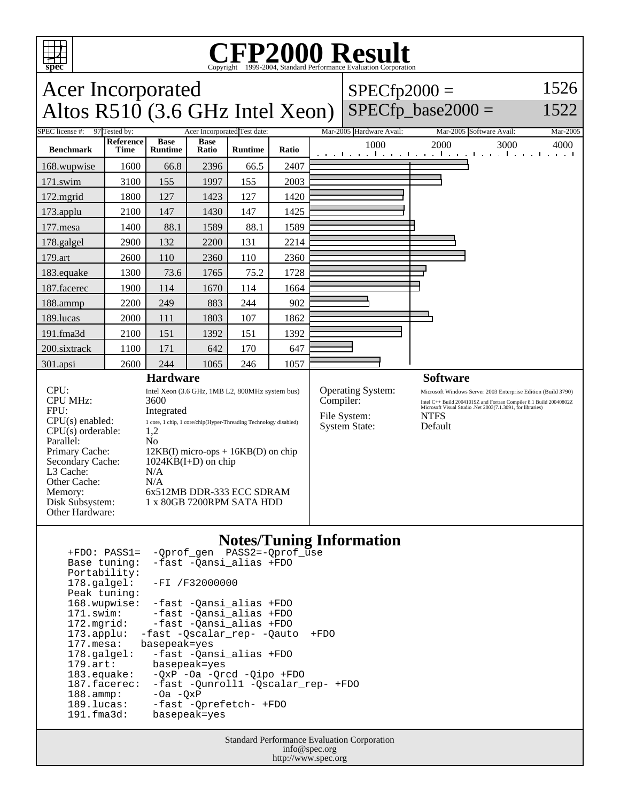

#### **CFP2000 Result** Copyright ©1999-2004, Standard I

#### Acer Incorporated Altos  $R510$  (3.6 GHz Intel Xeon)  $SPECfp2000 =$  $SPECfp\_base2000 =$ 1526 1522 SPEC license #: 97 Tested by: Acer Incorporated Test date: Mar-2005 Hardware Avail: Mar-2005 Software Avail: Mar-2005 **Benchmark Reference Time Base Runtime Base Ratio Runtime Ratio** 1000 2000 3000 4000 168.wupwise 1600 66.8 2396 66.5 2407 171.swim | 3100 | 155 | 1997 | 155 | 2003 172.mgrid | 1800 | 127 | 1423 | 127 | 1420 173.applu | 2100 | 147 | 1430 | 147 | 1425 177.mesa | 1400 | 88.1 | 1589 | 88.1 | 1589 178.galgel 2900 132 2200 131 2214 179.art 2600 110 2360 110 2360 183.equake 1300 73.6 1765 75.2 1728 187. facerec | 1900 | 114 | 1670 | 114 | 1664 188.ammp | 2200 | 249 | 883 | 244 | 902 189.lucas | 2000 | 111 | 1803 | 107 | 1862 191.fma3d 2100 151 1392 151 1392 200.sixtrack 1100 171 642 170 647 301.apsi 2600 244 1065 246 1057 **Hardware** CPU: Intel Xeon (3.6 GHz, 1MB L2, 800MHz system bus)<br>CPU MHz: 3600 CPU MHz: FPU: Integrated  $CPU(s) enable: 1 core, 1 chip, 1 core/chip(Hyper-Threading Technology disabled)$ <br> $CPU(s) orderable: 1.2$  $CPU(s)$  orderable: Parallel: No<br>Primary Cache: 12k Primary Cache: 12KB(I) micro-ops + 16KB(D) on chip<br>Secondary Cache: 1024KB(I+D) on chip  $1024KB(I+D)$  on chip L3 Cache: N/A<br>Other Cache: N/A Other Cache:<br>Memory: 6x512MB DDR-333 ECC SDRAM Disk Subsystem: 1 x 80GB 7200RPM SATA HDD Other Hardware: **Software** Operating System: Microsoft Windows Server 2003 Enterprise Edition (Build 3790)<br>
Compiler: Intel C++ Build 20041019Z and Fortran Compiler 8.1 Build 20040802Z Compiler: Intel C++ Build 20041019Z and Fortran Compiler 8.1 Build 20040802Z<br>Microsoft Visual Studio .Net 2003(7.1.3091, for libraries) File System: NTFS System State: Default

## **Notes/Tuning Information**

 $+$ FDO: PASS1 =  $-$ Oprof gen

Standard Performance Evaluation Corporation info@spec.org http://www.spec.org